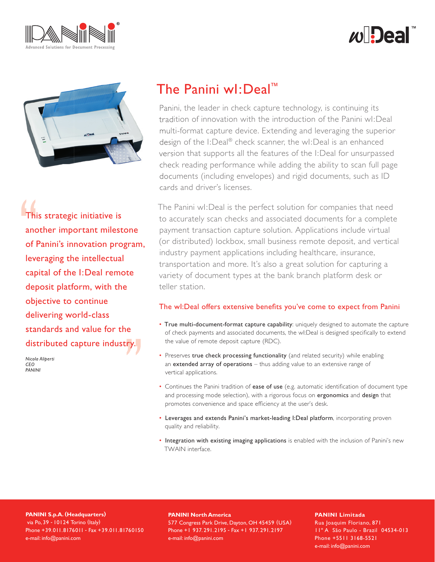





This strategic initiative is another important milestone of Panini's innovation program, leveraging the intellectual capital of the I:Deal remote deposit platform, with the objective to continue delivering world-class standards and value for the distributed capture industry.

*Nicola Aliperti CEO PANINI*

## The Panini wl:Deal<sup>™</sup>

Panini, the leader in check capture technology, is continuing its tradition of innovation with the introduction of the Panini wI:Deal multi-format capture device. Extending and leveraging the superior design of the I:Deal® check scanner, the wI:Deal is an enhanced version that supports all the features of the I:Deal for unsurpassed check reading performance while adding the ability to scan full page documents (including envelopes) and rigid documents, such as ID cards and driver's licenses.

The Panini wI:Deal is the perfect solution for companies that need to accurately scan checks and associated documents for a complete payment transaction capture solution. Applications include virtual (or distributed) lockbox, small business remote deposit, and vertical industry payment applications including healthcare, insurance, transportation and more. It's also a great solution for capturing a variety of document types at the bank branch platform desk or teller station.

## The wl:Deal offers extensive benefits you've come to expect from Panini

- True multi-document-format capture capability: uniquely designed to automate the capture of check payments and associated documents, the wI:Deal is designed specifically to extend the value of remote deposit capture (RDC).
- Preserves true check processing functionality (and related security) while enabling an extended array of operations - thus adding value to an extensive range of vertical applications.
- Continues the Panini tradition of ease of use (e.g. automatic identification of document type and processing mode selection), with a rigorous focus on ergonomics and design that promotes convenience and space efficiency at the user's desk.
- Leverages and extends Panini's market-leading I:Deal platform, incorporating proven quality and reliability.
- Integration with existing imaging applications is enabled with the inclusion of Panini's new TWAIN interface.

**PANINI S.p.A. (Headquarters)** via Po, 39 - 10124 Torino (Italy) Phone +39.011.8176011 - Fax +39.011.81760150 e-mail: info@panini.com

**PANINI North America** 577 Congress Park Drive, Dayton, OH 45459 (USA) Phone +1 937. 291.2195 - Fax +1 937. 291.2197 e-mail: info@panini.com

**PANINI Limitada** Rua Joaquim Floriano, 871 11º A São Paulo - Brazil 04534-013 Phone +5511 3168-5521

e-mail: info@panini.com